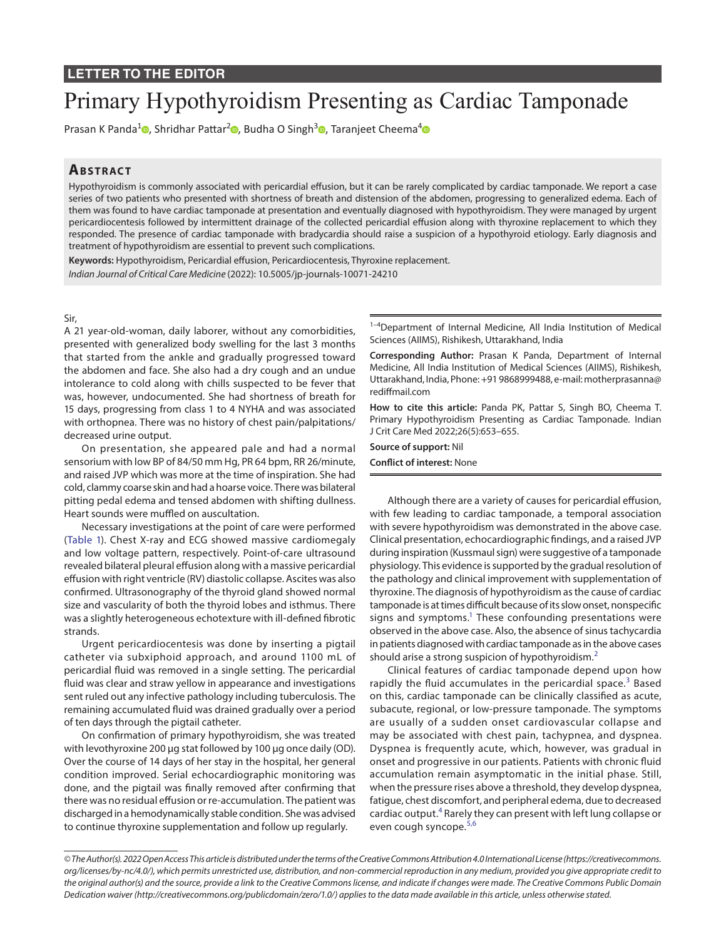## **LETTER TO THE EDITOR**

# Primary Hypothyroidism Presenting as Cardiac Tamponade

Prasan K Panda<sup>1</sup> [,](https://orcid.org/0000-0002-1138-0972) Shridhar Pattar<sup>2</sup> , Budha O Singh<sup>3</sup> , Taranjeet Cheema<sup>[4](https://orcid.org/0000-0003-2547-4037)</sup>

# **ABSTRACT**

Hypothyroidism is commonly associated with pericardial effusion, but it can be rarely complicated by cardiac tamponade. We report a case series of two patients who presented with shortness of breath and distension of the abdomen, progressing to generalized edema. Each of them was found to have cardiac tamponade at presentation and eventually diagnosed with hypothyroidism. They were managed by urgent pericardiocentesis followed by intermittent drainage of the collected pericardial effusion along with thyroxine replacement to which they responded. The presence of cardiac tamponade with bradycardia should raise a suspicion of a hypothyroid etiology. Early diagnosis and treatment of hypothyroidism are essential to prevent such complications.

**Keywords:** Hypothyroidism, Pericardial effusion, Pericardiocentesis, Thyroxine replacement.

*Indian Journal of Critical Care Medicine* (2022): 10.5005/jp-journals-10071-24210

#### Sir,

A 21 year-old-woman, daily laborer, without any comorbidities, presented with generalized body swelling for the last 3 months that started from the ankle and gradually progressed toward the abdomen and face. She also had a dry cough and an undue intolerance to cold along with chills suspected to be fever that was, however, undocumented. She had shortness of breath for 15 days, progressing from class 1 to 4 NYHA and was associated with orthopnea. There was no history of chest pain/palpitations/ decreased urine output.

On presentation, she appeared pale and had a normal sensorium with low BP of 84/50 mm Hg, PR 64 bpm, RR 26/minute, and raised JVP which was more at the time of inspiration. She had cold, clammy coarse skin and had a hoarse voice. There was bilateral pitting pedal edema and tensed abdomen with shifting dullness. Heart sounds were muffled on auscultation.

Necessary investigations at the point of care were performed ([Table 1](#page-1-0)). Chest X-ray and ECG showed massive cardiomegaly and low voltage pattern, respectively. Point-of-care ultrasound revealed bilateral pleural effusion along with a massive pericardial effusion with right ventricle (RV) diastolic collapse. Ascites was also confirmed. Ultrasonography of the thyroid gland showed normal size and vascularity of both the thyroid lobes and isthmus. There was a slightly heterogeneous echotexture with ill-defined fibrotic strands.

Urgent pericardiocentesis was done by inserting a pigtail catheter via subxiphoid approach, and around 1100 mL of pericardial fluid was removed in a single setting. The pericardial fluid was clear and straw yellow in appearance and investigations sent ruled out any infective pathology including tuberculosis. The remaining accumulated fluid was drained gradually over a period of ten days through the pigtail catheter.

On confirmation of primary hypothyroidism, she was treated with levothyroxine 200 µg stat followed by 100 µg once daily (OD). Over the course of 14 days of her stay in the hospital, her general condition improved. Serial echocardiographic monitoring was done, and the pigtail was finally removed after confirming that there was no residual effusion or re-accumulation. The patient was discharged in a hemodynamically stable condition. She was advised to continue thyroxine supplementation and follow up regularly.

<sup>1-4</sup>Department of Internal Medicine, All India Institution of Medical Sciences (AIIMS), Rishikesh, Uttarakhand, India

**Corresponding Author:** Prasan K Panda, Department of Internal Medicine, All India Institution of Medical Sciences (AIIMS), Rishikesh, Uttarakhand, India, Phone: +91 9868999488, e-mail: motherprasanna@ rediffmail.com

**How to cite this article:** Panda PK, Pattar S, Singh BO, Cheema T. Primary Hypothyroidism Presenting as Cardiac Tamponade. Indian J Crit Care Med 2022;26(5):653–655.

**Source of support:** Nil **Conflict of interest:** None

Although there are a variety of causes for pericardial effusion, with few leading to cardiac tamponade, a temporal association with severe hypothyroidism was demonstrated in the above case. Clinical presentation, echocardiographic findings, and a raised JVP during inspiration (Kussmaul sign) were suggestive of a tamponade physiology. This evidence is supported by the gradual resolution of the pathology and clinical improvement with supplementation of thyroxine. The diagnosis of hypothyroidism as the cause of cardiac tamponade is at times difficult because of its slow onset, nonspecific signs and symptoms. $^1$  These confounding presentations were observed in the above case. Also, the absence of sinus tachycardia in patients diagnosed with cardiac tamponade as in the above cases should arise a strong suspicion of hypothyroidism.<sup>[2](#page-2-1)</sup>

Clinical features of cardiac tamponade depend upon how rapidly the fluid accumulates in the pericardial space.<sup>[3](#page-2-2)</sup> Based on this, cardiac tamponade can be clinically classified as acute, subacute, regional, or low-pressure tamponade. The symptoms are usually of a sudden onset cardiovascular collapse and may be associated with chest pain, tachypnea, and dyspnea. Dyspnea is frequently acute, which, however, was gradual in onset and progressive in our patients. Patients with chronic fluid accumulation remain asymptomatic in the initial phase. Still, when the pressure rises above a threshold, they develop dyspnea, fatigue, chest discomfort, and peripheral edema, due to decreased cardiac output.<sup>[4](#page-2-3)</sup> Rarely they can present with left lung collapse or even cough syncope.<sup>[5](#page-2-4),[6](#page-2-5)</sup>

*<sup>©</sup> The Author(s). 2022 Open Access This article is distributed under the terms of the Creative Commons Attribution 4.0 International License (https://creativecommons. org/licenses/by-nc/4.0/), which permits unrestricted use, distribution, and non-commercial reproduction in any medium, provided you give appropriate credit to the original author(s) and the source, provide a link to the Creative Commons license, and indicate if changes were made. The Creative Commons Public Domain Dedication waiver (http://creativecommons.org/publicdomain/zero/1.0/) applies to the data made available in this article, unless otherwise stated.*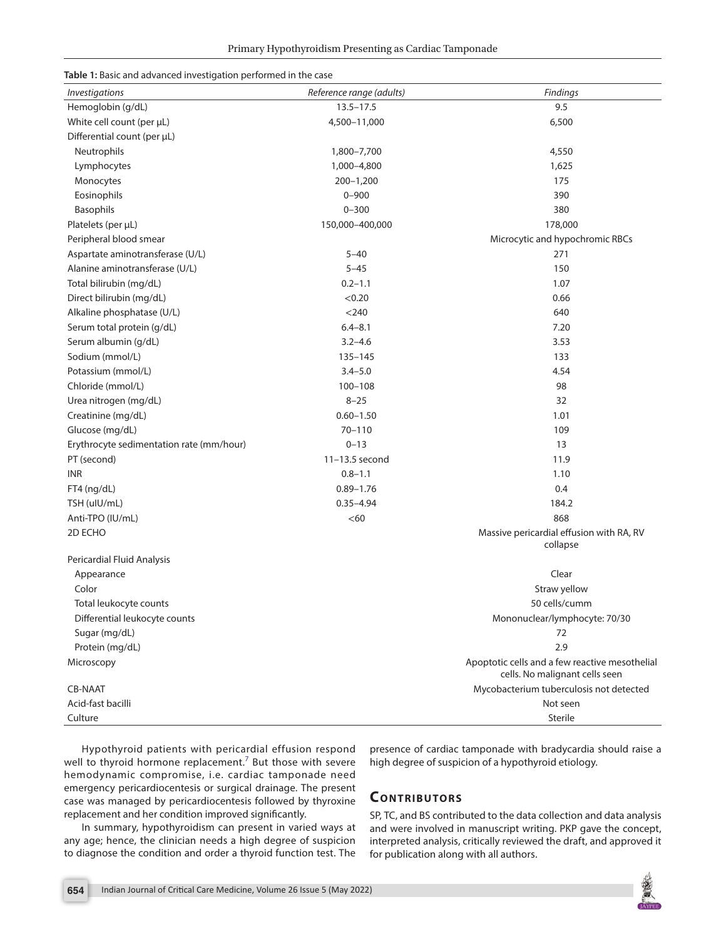<span id="page-1-0"></span>

| Table 1: Basic and advanced investigation performed in the case |
|-----------------------------------------------------------------|
|-----------------------------------------------------------------|

| <i><u><b>Investigations</b></u></i>      | Reference range (adults) | Findings                                                                         |
|------------------------------------------|--------------------------|----------------------------------------------------------------------------------|
| Hemoglobin (g/dL)                        | $13.5 - 17.5$            | 9.5                                                                              |
| White cell count (per µL)                | 4,500-11,000             | 6,500                                                                            |
| Differential count (per µL)              |                          |                                                                                  |
| Neutrophils                              | 1,800-7,700              | 4,550                                                                            |
| Lymphocytes                              | 1,000-4,800              | 1,625                                                                            |
| Monocytes                                | $200 - 1,200$            | 175                                                                              |
| Eosinophils                              | $0 - 900$                | 390                                                                              |
| Basophils                                | $0 - 300$                | 380                                                                              |
| Platelets (per µL)                       | 150,000-400,000          | 178,000                                                                          |
| Peripheral blood smear                   |                          | Microcytic and hypochromic RBCs                                                  |
| Aspartate aminotransferase (U/L)         | $5 - 40$                 | 271                                                                              |
| Alanine aminotransferase (U/L)           | $5 - 45$                 | 150                                                                              |
| Total bilirubin (mg/dL)                  | $0.2 - 1.1$              | 1.07                                                                             |
| Direct bilirubin (mg/dL)                 | < 0.20                   | 0.66                                                                             |
| Alkaline phosphatase (U/L)               | $<$ 240 $\,$             | 640                                                                              |
| Serum total protein (g/dL)               | $6.4 - 8.1$              | 7.20                                                                             |
| Serum albumin (g/dL)                     | $3.2 - 4.6$              | 3.53                                                                             |
| Sodium (mmol/L)                          | 135-145                  | 133                                                                              |
| Potassium (mmol/L)                       | $3.4 - 5.0$              | 4.54                                                                             |
| Chloride (mmol/L)                        | $100 - 108$              | 98                                                                               |
| Urea nitrogen (mg/dL)                    | $8 - 25$                 | 32                                                                               |
| Creatinine (mg/dL)                       | $0.60 - 1.50$            | 1.01                                                                             |
| Glucose (mg/dL)                          | $70 - 110$               | 109                                                                              |
| Erythrocyte sedimentation rate (mm/hour) | $0 - 13$                 | 13                                                                               |
| PT (second)                              | 11-13.5 second           | 11.9                                                                             |
| <b>INR</b>                               | $0.8 - 1.1$              | 1.10                                                                             |
| FT4 (ng/dL)                              | $0.89 - 1.76$            | 0.4                                                                              |
| TSH (uIU/mL)                             | $0.35 - 4.94$            | 184.2                                                                            |
| Anti-TPO (IU/mL)                         | <60                      | 868                                                                              |
| 2D ECHO                                  |                          | Massive pericardial effusion with RA, RV                                         |
|                                          |                          | collapse                                                                         |
| Pericardial Fluid Analysis               |                          |                                                                                  |
| Appearance                               |                          | Clear                                                                            |
| Color                                    |                          | Straw yellow                                                                     |
| Total leukocyte counts                   |                          | 50 cells/cumm                                                                    |
| Differential leukocyte counts            |                          | Mononuclear/lymphocyte: 70/30                                                    |
| Sugar (mg/dL)                            |                          | 72                                                                               |
| Protein (mg/dL)                          |                          | 2.9                                                                              |
| Microscopy                               |                          | Apoptotic cells and a few reactive mesothelial<br>cells. No malignant cells seen |
| <b>CB-NAAT</b>                           |                          | Mycobacterium tuberculosis not detected                                          |
| Acid-fast bacilli                        |                          | Not seen                                                                         |
| Culture                                  |                          | Sterile                                                                          |

Hypothyroid patients with pericardial effusion respond well to thyroid hormone replacement.<sup>7</sup> But those with severe hemodynamic compromise, i.e. cardiac tamponade need emergency pericardiocentesis or surgical drainage. The present case was managed by pericardiocentesis followed by thyroxine replacement and her condition improved significantly.

In summary, hypothyroidism can present in varied ways at any age; hence, the clinician needs a high degree of suspicion to diagnose the condition and order a thyroid function test. The

presence of cardiac tamponade with bradycardia should raise a high degree of suspicion of a hypothyroid etiology.

## **Contributors**

SP, TC, and BS contributed to the data collection and data analysis and were involved in manuscript writing. PKP gave the concept, interpreted analysis, critically reviewed the draft, and approved it for publication along with all authors.